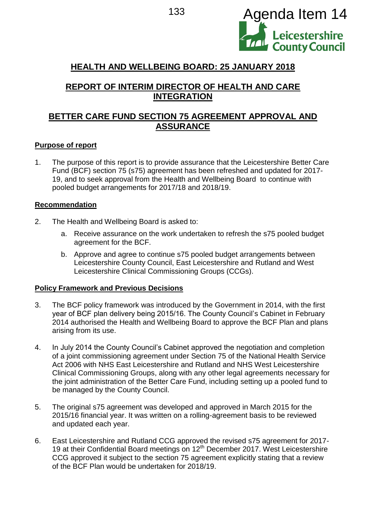

# **HEALTH AND WELLBEING BOARD: 25 JANUARY 2018**

# **REPORT OF INTERIM DIRECTOR OF HEALTH AND CARE INTEGRATION**

# **BETTER CARE FUND SECTION 75 AGREEMENT APPROVAL AND ASSURANCE**

## **Purpose of report**

1. The purpose of this report is to provide assurance that the Leicestershire Better Care Fund (BCF) section 75 (s75) agreement has been refreshed and updated for 2017- 19, and to seek approval from the Health and Wellbeing Board to continue with pooled budget arrangements for 2017/18 and 2018/19.

## **Recommendation**

- 2. The Health and Wellbeing Board is asked to:
	- a. Receive assurance on the work undertaken to refresh the s75 pooled budget agreement for the BCF.
	- b. Approve and agree to continue s75 pooled budget arrangements between Leicestershire County Council, East Leicestershire and Rutland and West Leicestershire Clinical Commissioning Groups (CCGs).

### **Policy Framework and Previous Decisions**

- 3. The BCF policy framework was introduced by the Government in 2014, with the first year of BCF plan delivery being 2015/16. The County Council's Cabinet in February 2014 authorised the Health and Wellbeing Board to approve the BCF Plan and plans arising from its use.
- 4. In July 2014 the County Council's Cabinet approved the negotiation and completion of a joint commissioning agreement under Section 75 of the National Health Service Act 2006 with NHS East Leicestershire and Rutland and NHS West Leicestershire Clinical Commissioning Groups, along with any other legal agreements necessary for the joint administration of the Better Care Fund, including setting up a pooled fund to be managed by the County Council.
- 5. The original s75 agreement was developed and approved in March 2015 for the 2015/16 financial year. It was written on a rolling-agreement basis to be reviewed and updated each year.
- 6. East Leicestershire and Rutland CCG approved the revised s75 agreement for 2017- 19 at their Confidential Board meetings on 12<sup>th</sup> December 2017. West Leicestershire CCG approved it subject to the section 75 agreement explicitly stating that a review of the BCF Plan would be undertaken for 2018/19.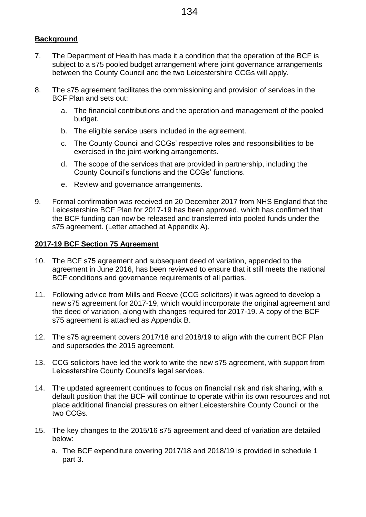## **Background**

- 7. The Department of Health has made it a condition that the operation of the BCF is subject to a s75 pooled budget arrangement where joint governance arrangements between the County Council and the two Leicestershire CCGs will apply.
- 8. The s75 agreement facilitates the commissioning and provision of services in the BCF Plan and sets out:
	- a. The financial contributions and the operation and management of the pooled budget.
	- b. The eligible service users included in the agreement.
	- c. The County Council and CCGs' respective roles and responsibilities to be exercised in the joint-working arrangements.
	- d. The scope of the services that are provided in partnership, including the County Council's functions and the CCGs' functions.
	- e. Review and governance arrangements.
- 9. Formal confirmation was received on 20 December 2017 from NHS England that the Leicestershire BCF Plan for 2017-19 has been approved, which has confirmed that the BCF funding can now be released and transferred into pooled funds under the s75 agreement. (Letter attached at Appendix A).

## **2017-19 BCF Section 75 Agreement**

- 10. The BCF s75 agreement and subsequent deed of variation, appended to the agreement in June 2016, has been reviewed to ensure that it still meets the national BCF conditions and governance requirements of all parties.
- 11. Following advice from Mills and Reeve (CCG solicitors) it was agreed to develop a new s75 agreement for 2017-19, which would incorporate the original agreement and the deed of variation, along with changes required for 2017-19. A copy of the BCF s75 agreement is attached as Appendix B.
- 12. The s75 agreement covers 2017/18 and 2018/19 to align with the current BCF Plan and supersedes the 2015 agreement.
- 13. CCG solicitors have led the work to write the new s75 agreement, with support from Leicestershire County Council's legal services.
- 14. The updated agreement continues to focus on financial risk and risk sharing, with a default position that the BCF will continue to operate within its own resources and not place additional financial pressures on either Leicestershire County Council or the two CCGs.
- 15. The key changes to the 2015/16 s75 agreement and deed of variation are detailed below:
	- a. The BCF expenditure covering 2017/18 and 2018/19 is provided in schedule 1 part 3.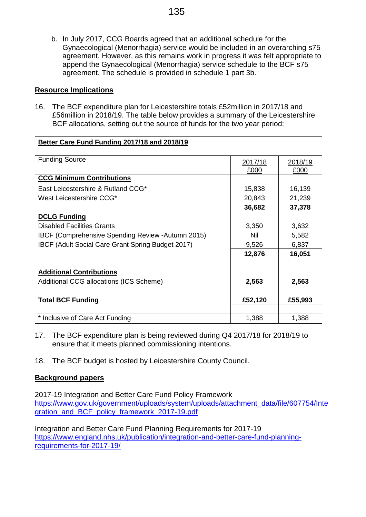b. In July 2017, CCG Boards agreed that an additional schedule for the Gynaecological (Menorrhagia) service would be included in an overarching s75 agreement. However, as this remains work in progress it was felt appropriate to append the Gynaecological (Menorrhagia) service schedule to the BCF s75 agreement. The schedule is provided in schedule 1 part 3b.

## **Resource Implications**

16. The BCF expenditure plan for Leicestershire totals £52million in 2017/18 and £56million in 2018/19. The table below provides a summary of the Leicestershire BCF allocations, setting out the source of funds for the two year period:

| Better Care Fund Funding 2017/18 and 2018/19              |                 |                 |
|-----------------------------------------------------------|-----------------|-----------------|
| <b>Funding Source</b>                                     | 2017/18<br>£000 | 2018/19<br>£000 |
| <b>CCG Minimum Contributions</b>                          |                 |                 |
| East Leicestershire & Rutland CCG*                        | 15,838          | 16,139          |
| West Leicestershire CCG*                                  | 20,843          | 21,239          |
|                                                           | 36,682          | 37,378          |
| <b>DCLG Funding</b>                                       |                 |                 |
| <b>Disabled Facilities Grants</b>                         | 3,350           | 3,632           |
| <b>IBCF (Comprehensive Spending Review - Autumn 2015)</b> | Nil             | 5,582           |
| <b>IBCF (Adult Social Care Grant Spring Budget 2017)</b>  | 9,526           | 6,837           |
|                                                           | 12,876          | 16,051          |
| <b>Additional Contributions</b>                           |                 |                 |
| <b>Additional CCG allocations (ICS Scheme)</b>            | 2,563           | 2,563           |
| <b>Total BCF Funding</b>                                  | £52,120         | £55,993         |
|                                                           |                 |                 |
| * Inclusive of Care Act Funding                           | 1,388           | 1,388           |

- 17. The BCF expenditure plan is being reviewed during Q4 2017/18 for 2018/19 to ensure that it meets planned commissioning intentions.
- 18. The BCF budget is hosted by Leicestershire County Council.

## **Background papers**

2017-19 Integration and Better Care Fund Policy Framework [https://www.gov.uk/government/uploads/system/uploads/attachment\\_data/file/607754/Inte](https://www.gov.uk/government/uploads/system/uploads/attachment_data/file/607754/Integration_and_BCF_policy_framework_2017-19.pdf) [gration\\_and\\_BCF\\_policy\\_framework\\_2017-19.pdf](https://www.gov.uk/government/uploads/system/uploads/attachment_data/file/607754/Integration_and_BCF_policy_framework_2017-19.pdf)

Integration and Better Care Fund Planning Requirements for 2017-19 [https://www.england.nhs.uk/publication/integration-and-better-care-fund-planning](https://www.england.nhs.uk/publication/integration-and-better-care-fund-planning-requirements-for-2017-19/)[requirements-for-2017-19/](https://www.england.nhs.uk/publication/integration-and-better-care-fund-planning-requirements-for-2017-19/)